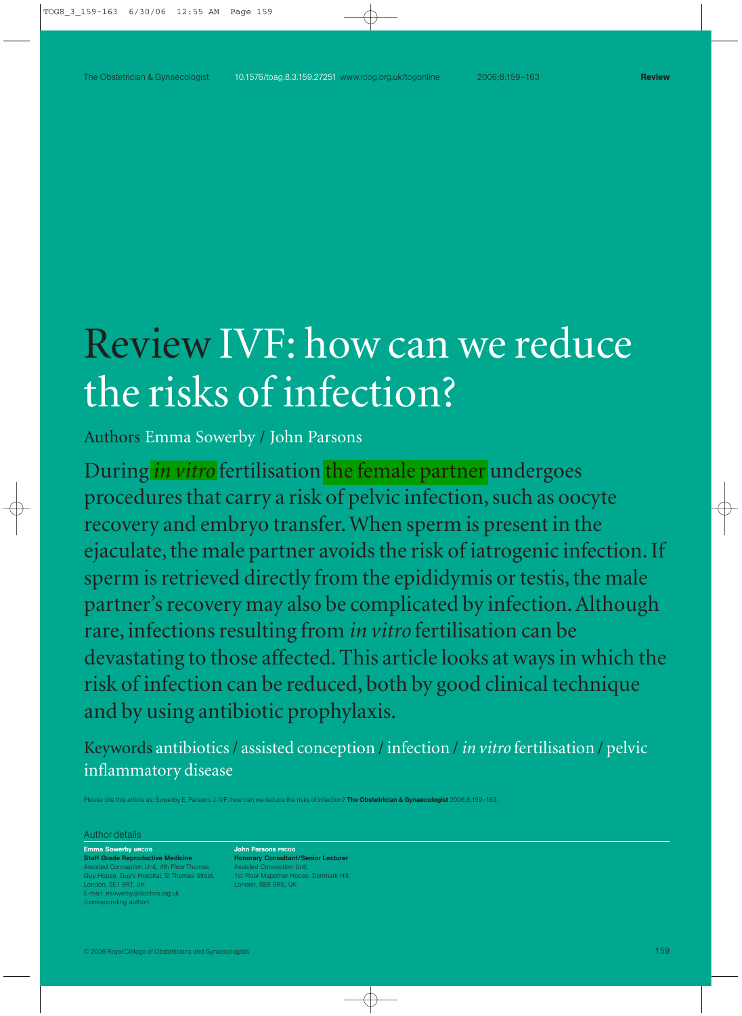# Review IVF: how can we reduce the risks of infection?

Authors Emma Sowerby / John Parsons

During *in vitro* fertilisation the female partner undergoes procedures that carry a risk of pelvic infection, such as oocyte recovery and embryo transfer. When sperm is present in the ejaculate, the male partner avoids the risk of iatrogenic infection. If sperm is retrieved directly from the epididymis or testis, the male partner's recovery may also be complicated by infection. Although rare, infections resulting from *in vitro* fertilisation can be devastating to those affected. This article looks at ways in which the risk of infection can be reduced, both by good clinical technique and by using antibiotic prophylaxis.

Keywords antibiotics / assisted conception / infection / *in vitro* fertilisation / pelvic inflammatory disease

e cite this article as: Sowerby E. Parsons J. IVE: how can we reduce the risks of infection? **The Obstetrician & Gynaecologist** 2006;8:159–163.

#### Author details

#### Emma Sowerby MRCOG

Staff Grade Reproductive Medicine ion Unit, 4th Floor Thomas Guy House, Guy's Hospital, St Thomas Street, London, SE1 9RT, UK E-mail: esowerby@doctors.org.uk (corresponding author)

John Parsons FRCOG Honorary Consultant/Senior Lecturer **Conception Unit** 1st Floor Mapother House, Denmark Hill, London, SE5 9RS, UK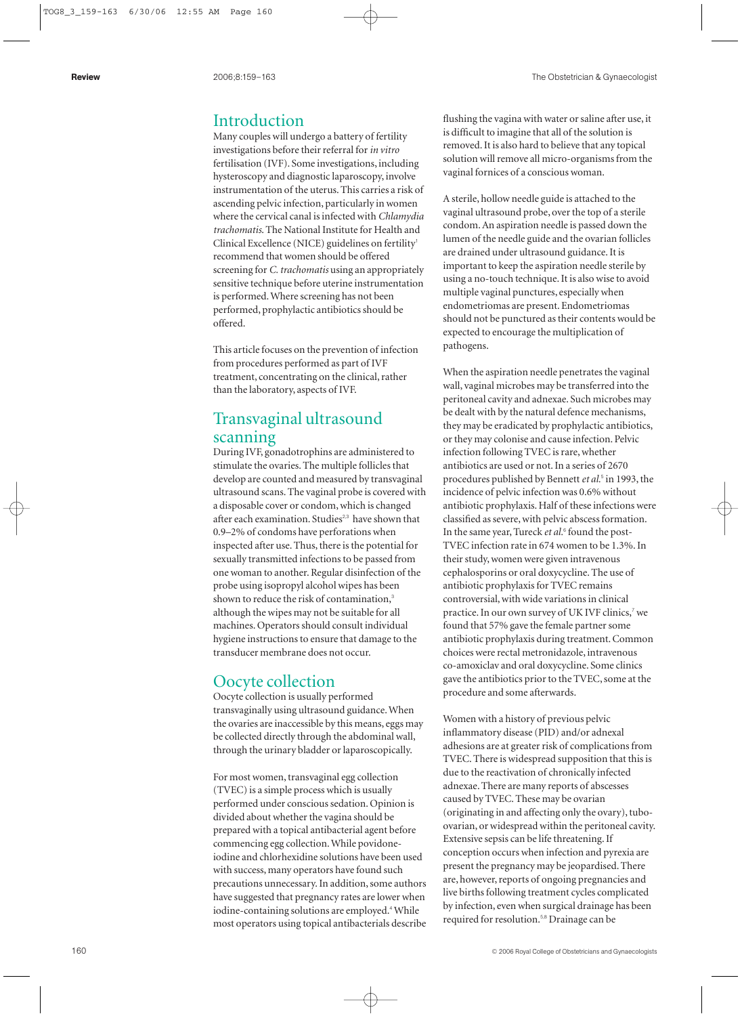## Introduction

Many couples will undergo a battery of fertility investigations before their referral for *in vitro* fertilisation (IVF). Some investigations, including hysteroscopy and diagnostic laparoscopy, involve instrumentation of the uterus. This carries a risk of ascending pelvic infection, particularly in women where the cervical canal is infected with *Chlamydia trachomatis*. The National Institute for Health and Clinical Excellence (NICE) guidelines on fertility 1 recommend that women should be offered screening for *C. trachomatis* using an appropriately sensitive technique before uterine instrumentation is performed. Where screening has not been performed, prophylactic antibiotics should be offered.

This article focuses on the prevention of infection from procedures performed as part of IVF treatment, concentrating on the clinical, rather than the laboratory, aspects of IVF.

# Transvaginal ultrasound scanning

During IVF, gonadotrophins are administered to stimulate the ovaries. The multiple follicles that develop are counted and measured by transvaginal ultrasound scans. The vaginal probe is covered with a disposable cover or condom, which is changed after each examination. Studies<sup>2,3</sup> have shown that 0.9–2% of condoms have perforations when inspected after use. Thus, there is the potential for sexually transmitted infections to be passed from one woman to another. Regular disinfection of the probe using isopropyl alcohol wipes has been shown to reduce the risk of contamination, 3 although the wipes may not be suitable for all machines. Operators should consult individual hygiene instructions to ensure that damage to the transducer membrane does not occur.

## Oocyte collection

Oocyte collection is usually performed transvaginally using ultrasound guidance. When the ovaries are inaccessible by this means, eggs may be collected directly through the abdominal wall, through the urinary bladder or laparoscopically.

For most women, transvaginal egg collection (TVEC) is a simple process which is usually performed under conscious sedation. Opinion is divided about whether the vagina should be prepared with a topical antibacterial agent before commencing egg collection. While povidoneiodine and chlorhexidine solutions have been used with success, many operators have found such precautions unnecessary. In addition, some authors have suggested that pregnancy rates are lower when iodine-containing solutions are employed. <sup>4</sup>While most operators using topical antibacterials describe flushing the vagina with water or saline after use, it is difficult to imagine that all of the solution is removed. It is also hard to believe that any topical solution will remove all micro-organisms from the vaginal fornices of a conscious woman.

A sterile, hollow needle guide is attached to the vaginal ultrasound probe, over the top of a sterile condom. An aspiration needle is passed down the lumen of the needle guide and the ovarian follicles are drained under ultrasound guidance. It is important to keep the aspiration needle sterile by using a no-touch technique. It is also wise to avoid multiple vaginal punctures, especially when endometriomas are present. Endometriomas should not be punctured as their contents would be expected to encourage the multiplication of pathogens.

When the aspiration needle penetrates the vaginal wall, vaginal microbes may be transferred into the peritoneal cavity and adnexae. Such microbes may be dealt with by the natural defence mechanisms, they may be eradicated by prophylactic antibiotics, or they may colonise and cause infection. Pelvic infection following TVEC is rare, whether antibiotics are used or not. In a series of 2670 procedures published by Bennett *et al.* <sup>5</sup> in 1993, the incidence of pelvic infection was 0.6% without antibiotic prophylaxis. Half of these infections were classified as severe, with pelvic abscess formation. In the same year, Tureck *et al.* <sup>6</sup> found the post-TVEC infection rate in 674 women to be 1.3%. In their study, women were given intravenous cephalosporins or oral doxycycline. The use of antibiotic prophylaxis for TVEC remains controversial, with wide variations in clinical practice. In our own survey of UK IVF clinics,<sup>7</sup> we found that 57% gave the female partner some antibiotic prophylaxis during treatment. Common choices were rectal metronidazole, intravenous co-amoxiclav and oral doxycycline. Some clinics gave the antibiotics prior to the TVEC, some at the procedure and some afterwards.

Women with a history of previous pelvic inflammatory disease (PID) and/or adnexal adhesions are at greater risk of complications from TVEC. There is widespread supposition that this is due to the reactivation of chronically infected adnexae. There are many reports of abscesses caused by TVEC. These may be ovarian (originating in and affecting only the ovary), tuboovarian, or widespread within the peritoneal cavity. Extensive sepsis can be life threatening. If conception occurs when infection and pyrexia are present the pregnancy may be jeopardised. There are, however, reports of ongoing pregnancies and live births following treatment cycles complicated by infection, even when surgical drainage has been required for resolution.5,8 Drainage can be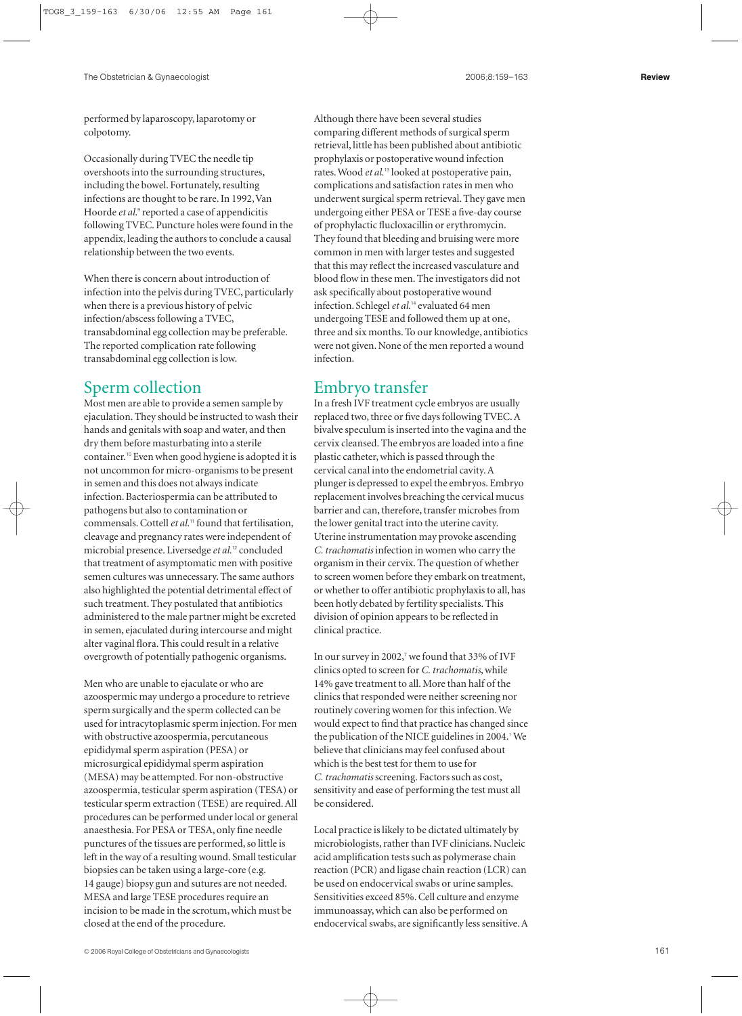performed by laparoscopy, laparotomy or colpotomy.

Occasionally during TVEC the needle tip overshoots into the surrounding structures, including the bowel. Fortunately, resulting infections are thought to be rare. In 1992, Van Hoorde *et al.*<sup>9</sup> reported a case of appendicitis following TVEC. Puncture holes were found in the appendix, leading the authors to conclude a causal relationship between the two events.

When there is concern about introduction of infection into the pelvis during TVEC, particularly when there is a previous history of pelvic infection/abscess following a TVEC, transabdominal egg collection may be preferable. The reported complication rate following transabdominal egg collection is low.

## Sperm collection

Most men are able to provide a semen sample by ejaculation. They should be instructed to wash their hands and genitals with soap and water, and then dry them before masturbating into a sterile container.<sup>10</sup> Even when good hygiene is adopted it is not uncommon for micro-organisms to be present in semen and this does not always indicate infection. Bacteriospermia can be attributed to pathogens but also to contamination or commensals. Cottell *et al.*<sup>11</sup> found that fertilisation, cleavage and pregnancy rates were independent of microbial presence. Liversedge *et al.*<sup>12</sup> concluded that treatment of asymptomatic men with positive semen cultures was unnecessary. The same authors also highlighted the potential detrimental effect of such treatment. They postulated that antibiotics administered to the male partner might be excreted in semen, ejaculated during intercourse and might alter vaginal flora. This could result in a relative overgrowth of potentially pathogenic organisms.

Men who are unable to ejaculate or who are azoospermic may undergo a procedure to retrieve sperm surgically and the sperm collected can be used for intracytoplasmic sperm injection. For men with obstructive azoospermia, percutaneous epididymal sperm aspiration (PESA) or microsurgical epididymal sperm aspiration (MESA) may be attempted. For non-obstructive azoospermia, testicular sperm aspiration (TESA) or testicular sperm extraction (TESE) are required. All procedures can be performed under local or general anaesthesia. For PESA or TESA, only fine needle punctures of the tissues are performed, so little is left in the way of a resulting wound. Small testicular biopsies can be taken using a large-core (e.g. 14 gauge) biopsy gun and sutures are not needed. MESA and large TESE procedures require an incision to be made in the scrotum, which must be closed at the end of the procedure.

Although there have been several studies comparing different methods of surgical sperm retrieval, little has been published about antibiotic prophylaxis or postoperative wound infection rates. Wood *et al.*<sup>13</sup> looked at postoperative pain, complications and satisfaction rates in men who underwent surgical sperm retrieval. They gave men undergoing either PESA or TESE a five-day course of prophylactic flucloxacillin or erythromycin. They found that bleeding and bruising were more common in men with larger testes and suggested that this may reflect the increased vasculature and blood flow in these men. The investigators did not ask specifically about postoperative wound infection. Schlegel *et al.*<sup>14</sup> evaluated 64 men undergoing TESE and followed them up at one, three and six months. To our knowledge, antibiotics were not given. None of the men reported a wound infection.

## Embryo transfer

In a fresh IVF treatment cycle embryos are usually replaced two, three or five days following TVEC. A bivalve speculum is inserted into the vagina and the cervix cleansed. The embryos are loaded into a fine plastic catheter, which is passed through the cervical canal into the endometrial cavity. A plunger is depressed to expel the embryos. Embryo replacement involves breaching the cervical mucus barrier and can, therefore, transfer microbes from the lower genital tract into the uterine cavity. Uterine instrumentation may provoke ascending *C. trachomatis* infection in women who carry the organism in their cervix. The question of whether to screen women before they embark on treatment, or whether to offer antibiotic prophylaxis to all, has been hotly debated by fertility specialists. This division of opinion appears to be reflected in clinical practice.

In our survey in 2002, $\overline{7}$  we found that 33% of IVF clinics opted to screen for *C. trachomatis*, while 14% gave treatment to all. More than half of the clinics that responded were neither screening nor routinely covering women for this infection. We would expect to find that practice has changed since the publication of the NICE guidelines in 2004.<sup>1</sup> We believe that clinicians may feel confused about which is the best test for them to use for *C. trachomatis*screening. Factors such as cost, sensitivity and ease of performing the test must all be considered.

Local practice is likely to be dictated ultimately by microbiologists, rather than IVF clinicians. Nucleic acid amplification tests such as polymerase chain reaction (PCR) and ligase chain reaction (LCR) can be used on endocervical swabs or urine samples. Sensitivities exceed 85%. Cell culture and enzyme immunoassay, which can also be performed on endocervical swabs, are significantly less sensitive. A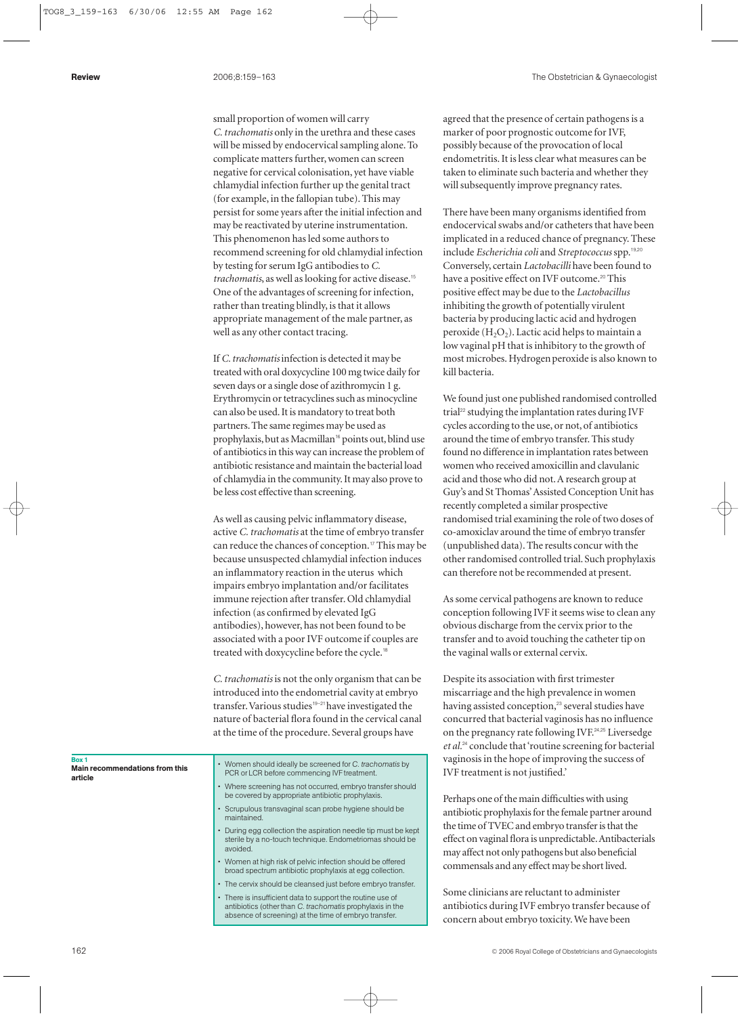small proportion of women will carry *C. trachomatis* only in the urethra and these cases will be missed by endocervical sampling alone. To complicate matters further, women can screen negative for cervical colonisation, yet have viable chlamydial infection further up the genital tract (for example, in the fallopian tube). This may persist for some years after the initial infection and may be reactivated by uterine instrumentation. This phenomenon has led some authors to recommend screening for old chlamydial infection by testing for serum IgG antibodies to *C. trachomatis*, as well as looking for active disease.<sup>15</sup> One of the advantages of screening for infection, rather than treating blindly, is that it allows appropriate management of the male partner, as well as any other contact tracing.

If *C. trachomatis*infection is detected it may be treated with oral doxycycline 100 mg twice daily for seven days or a single dose of azithromycin 1 g. Erythromycin or tetracyclines such as minocycline can also be used. It is mandatory to treat both partners. The same regimes may be used as prophylaxis, but as Macmillan<sup>16</sup> points out, blind use of antibiotics in this way can increase the problem of antibiotic resistance and maintain the bacterial load of chlamydia in the community. It may also prove to be less cost effective than screening.

As well as causing pelvic inflammatory disease, active *C. trachomatis* at the time of embryo transfer can reduce the chances of conception.<sup>17</sup> This may be because unsuspected chlamydial infection induces an inflammatory reaction in the uterus which impairs embryo implantation and/or facilitates immune rejection after transfer. Old chlamydial infection (as confirmed by elevated IgG antibodies), however, has not been found to be associated with a poor IVF outcome if couples are treated with doxycycline before the cycle.<sup>18</sup>

*C. trachomatis* is not the only organism that can be introduced into the endometrial cavity at embryo transfer.Various studies19–21have investigated the nature of bacterial flora found in the cervical canal at the time of the procedure. Several groups have

Box 1 Main recommendations from this article

- Women should ideally be screened for *C. trachomatis* by PCR or LCR before commencing IVF treatment.
- Where screening has not occurred, embryo transfer should be covered by appropriate antibiotic prophylaxis.
- Scrupulous transvaginal scan probe hygiene should be maintained.
- During egg collection the aspiration needle tip must be kept sterile by a no-touch technique. Endometriomas should be avoided.
- Women at high risk of pelvic infection should be offered broad spectrum antibiotic prophylaxis at egg collection.
- The cervix should be cleansed just before embryo transfer.
- There is insufficient data to support the routine use of antibiotics (other than *C. trachomatis* prophylaxis in the absence of screening) at the time of embryo transfer.

agreed that the presence of certain pathogens is a marker of poor prognostic outcome for IVF, possibly because of the provocation of local endometritis. It is less clear what measures can be taken to eliminate such bacteria and whether they will subsequently improve pregnancy rates.

There have been many organisms identified from endocervical swabs and/or catheters that have been implicated in a reduced chance of pregnancy. These include *Escherichia coli* and *Streptococcus*spp.19,20 Conversely, certain *Lactobacilli* have been found to have a positive effect on IVF outcome.<sup>20</sup> This positive effect may be due to the *Lactobacillus* inhibiting the growth of potentially virulent bacteria by producing lactic acid and hydrogen peroxide  $(H_2O_2)$ . Lactic acid helps to maintain a low vaginal pH that is inhibitory to the growth of most microbes. Hydrogen peroxide is also known to kill bacteria.

We found just one published randomised controlled trial<sup>22</sup> studying the implantation rates during IVF cycles according to the use, or not, of antibiotics around the time of embryo transfer. This study found no difference in implantation rates between women who received amoxicillin and clavulanic acid and those who did not.A research group at Guy's and St Thomas'Assisted Conception Unit has recently completed a similar prospective randomised trial examining the role of two doses of co-amoxiclav around the time of embryo transfer (unpublished data). The results concur with the other randomised controlled trial. Such prophylaxis can therefore not be recommended at present.

As some cervical pathogens are known to reduce conception following IVF it seems wise to clean any obvious discharge from the cervix prior to the transfer and to avoid touching the catheter tip on the vaginal walls or external cervix.

Despite its association with first trimester miscarriage and the high prevalence in women having assisted conception,<sup>23</sup> several studies have concurred that bacterial vaginosis has no influence on the pregnancy rate following IVF.<sup>24,25</sup> Liversedge *et al.*<sup>24</sup> conclude that 'routine screening for bacterial vaginosis in the hope of improving the success of IVF treatment is not justified.'

Perhaps one of the main difficulties with using antibiotic prophylaxis for the female partner around the time of TVEC and embryo transfer is that the effect on vaginal flora is unpredictable.Antibacterials may affect not only pathogens but also beneficial commensals and any effect may be short lived.

Some clinicians are reluctant to administer antibiotics during IVF embryo transfer because of concern about embryo toxicity. We have been